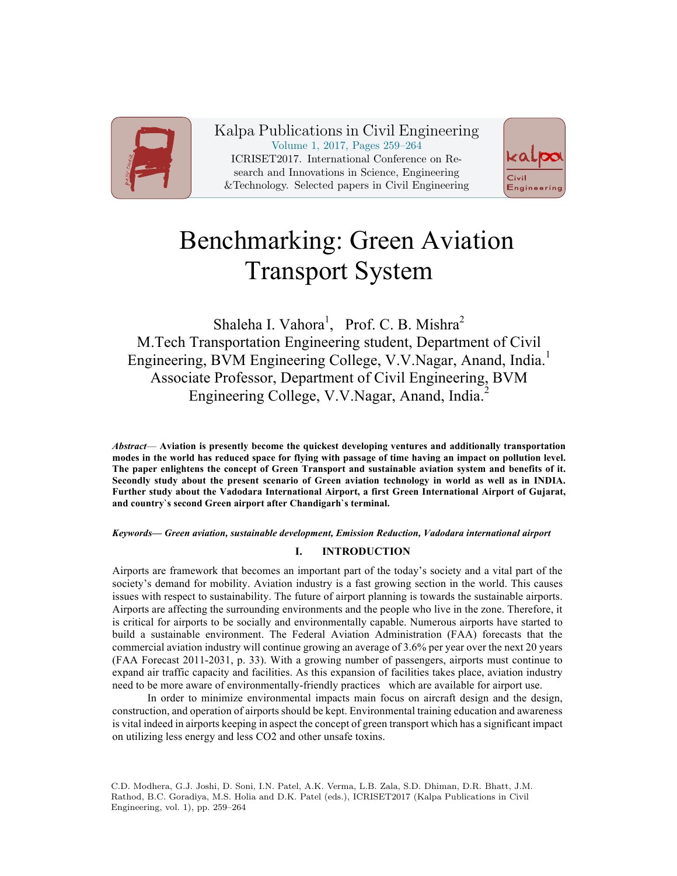

Kalpa Publications in Civil Engineering Volume 1, 2017, Pages 259–264 ICRISET2017. International Conference on Research and Innovations in Science, Engineering &Technology. Selected papers in Civil Engineering



# Benchmarking: Green Aviation Transport System

Shaleha I. Vahora<sup>1</sup>, Prof. C. B. Mishra<sup>2</sup> M.Tech Transportation Engineering student, Department of Civil Engineering, BVM Engineering College, V.V.Nagar, Anand, India.<sup>1</sup> Associate Professor, Department of Civil Engineering, BVM Engineering College, V.V.Nagar, Anand, India.<sup>2</sup>

*Abstract*— **Aviation is presently become the quickest developing ventures and additionally transportation modes in the world has reduced space for flying with passage of time having an impact on pollution level. The paper enlightens the concept of Green Transport and sustainable aviation system and benefits of it. Secondly study about the present scenario of Green aviation technology in world as well as in INDIA. Further study about the Vadodara International Airport, a first Green International Airport of Gujarat, and country`s second Green airport after Chandigarh`s terminal.**

*Keywords— Green aviation, sustainable development, Emission Reduction, Vadodara international airport* 

## **I. INTRODUCTION**

Airports are framework that becomes an important part of the today's society and a vital part of the society's demand for mobility. Aviation industry is a fast growing section in the world. This causes issues with respect to sustainability. The future of airport planning is towards the sustainable airports. Airports are affecting the surrounding environments and the people who live in the zone. Therefore, it is critical for airports to be socially and environmentally capable. Numerous airports have started to build a sustainable environment. The Federal Aviation Administration (FAA) forecasts that the commercial aviation industry will continue growing an average of 3.6% per year over the next 20 years (FAA Forecast 2011-2031, p. 33). With a growing number of passengers, airports must continue to expand air traffic capacity and facilities. As this expansion of facilities takes place, aviation industry need to be more aware of environmentally-friendly practices which are available for airport use.

In order to minimize environmental impacts main focus on aircraft design and the design, construction, and operation of airports should be kept. Environmental training education and awareness is vital indeed in airports keeping in aspect the concept of green transport which has a significant impact on utilizing less energy and less CO2 and other unsafe toxins.

C.D. Modhera, G.J. Joshi, D. Soni, I.N. Patel, A.K. Verma, L.B. Zala, S.D. Dhiman, D.R. Bhatt, J.M. Rathod, B.C. Goradiya, M.S. Holia and D.K. Patel (eds.), ICRISET2017 (Kalpa Publications in Civil Engineering, vol. 1), pp. 259–264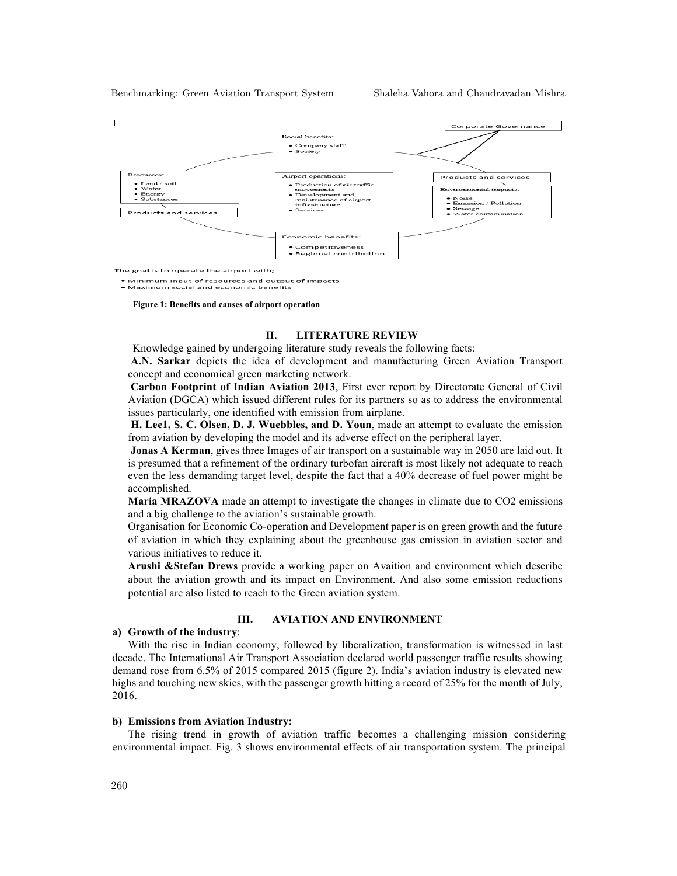

Minimum input of resources and output of impacts

· Maximum social and economic benefits

#### **Figure 1: Benefits and causes of airport operation**

#### **II. LITERATURE REVIEW**

Knowledge gained by undergoing literature study reveals the following facts:

**A.N. Sarkar** depicts the idea of development and manufacturing Green Aviation Transport concept and economical green marketing network.

**Carbon Footprint of Indian Aviation 2013**, First ever report by Directorate General of Civil Aviation (DGCA) which issued different rules for its partners so as to address the environmental issues particularly, one identified with emission from airplane.

**H. Lee1, S. C. Olsen, D. J. Wuebbles, and D. Youn**, made an attempt to evaluate the emission from aviation by developing the model and its adverse effect on the peripheral layer.

**Jonas A Kerman**, gives three Images of air transport on a sustainable way in 2050 are laid out. It is presumed that a refinement of the ordinary turbofan aircraft is most likely not adequate to reach even the less demanding target level, despite the fact that a 40% decrease of fuel power might be accomplished.

**Maria MRAZOVA** made an attempt to investigate the changes in climate due to CO2 emissions and a big challenge to the aviation's sustainable growth.

Organisation for Economic Co-operation and Development paper is on green growth and the future of aviation in which they explaining about the greenhouse gas emission in aviation sector and various initiatives to reduce it.

**Arushi &Stefan Drews** provide a working paper on Avaition and environment which describe about the aviation growth and its impact on Environment. And also some emission reductions potential are also listed to reach to the Green aviation system.

# **III. AVIATION AND ENVIRONMENT**

#### **a) Growth of the industry**:

With the rise in Indian economy, followed by liberalization, transformation is witnessed in last decade. The International Air Transport Association declared world passenger traffic results showing demand rose from 6.5% of 2015 compared 2015 (figure 2). India's aviation industry is elevated new highs and touching new skies, with the passenger growth hitting a record of 25% for the month of July, 2016.

## **b) Emissions from Aviation Industry:**

The rising trend in growth of aviation traffic becomes a challenging mission considering environmental impact. Fig. 3 shows environmental effects of air transportation system. The principal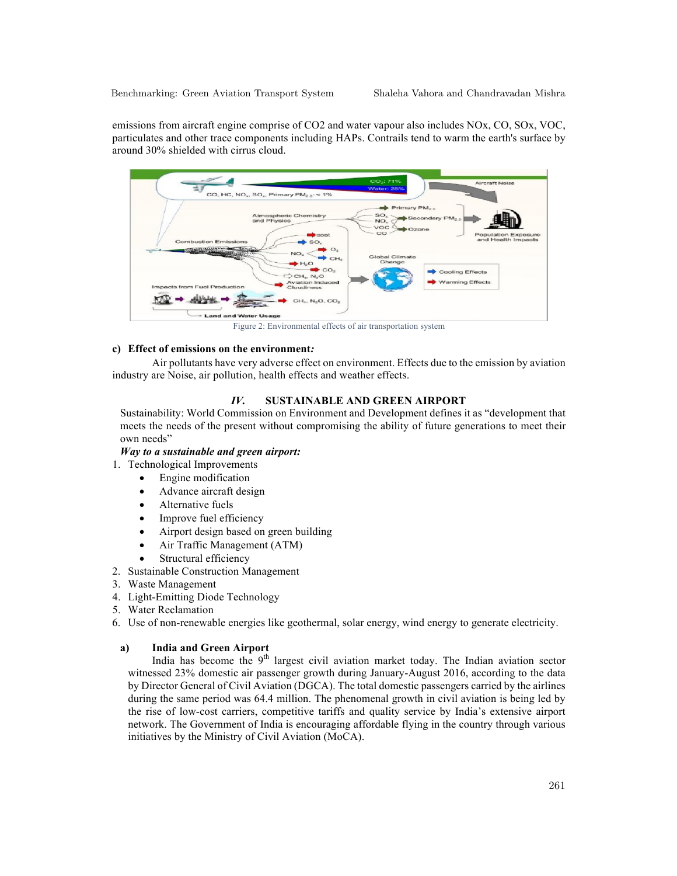emissions from aircraft engine comprise of CO2 and water vapour also includes NOx, CO, SOx, VOC, particulates and other trace components including HAPs. Contrails tend to warm the earth's surface by around 30% shielded with cirrus cloud.



Figure 2: Environmental effects of air transportation system

#### **c) Effect of emissions on the environment***:*

Air pollutants have very adverse effect on environment. Effects due to the emission by aviation industry are Noise, air pollution, health effects and weather effects.

# *IV.* **SUSTAINABLE AND GREEN AIRPORT**

Sustainability: World Commission on Environment and Development defines it as "development that meets the needs of the present without compromising the ability of future generations to meet their own needs"

# *Way to a sustainable and green airport:*

- 1. Technological Improvements
	- Engine modification
	- Advance aircraft design
	- Alternative fuels
	- Improve fuel efficiency
	- Airport design based on green building
	- Air Traffic Management (ATM)
	- Structural efficiency
- 2. Sustainable Construction Management
- 3. Waste Management
- 4. Light-Emitting Diode Technology
- 5. Water Reclamation
- 6. Use of non-renewable energies like geothermal, solar energy, wind energy to generate electricity.

### **a) India and Green Airport**

India has become the  $9<sup>th</sup>$  largest civil aviation market today. The Indian aviation sector witnessed 23% domestic air passenger growth during January-August 2016, according to the data by Director General of Civil Aviation (DGCA). The total domestic passengers carried by the airlines during the same period was 64.4 million. The phenomenal growth in civil aviation is being led by the rise of low-cost carriers, competitive tariffs and quality service by India's extensive airport network. The Government of India is encouraging affordable flying in the country through various initiatives by the Ministry of Civil Aviation (MoCA).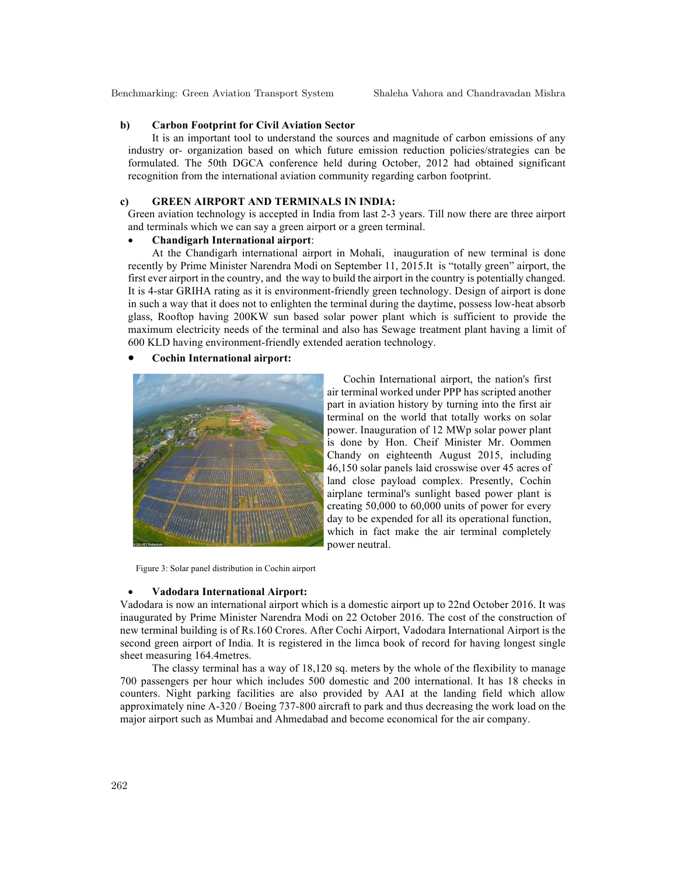Benchmarking: Green Aviation Transport System Shaleha Vahora and Chandravadan Mishra

## **b) Carbon Footprint for Civil Aviation Sector**

It is an important tool to understand the sources and magnitude of carbon emissions of any industry or- organization based on which future emission reduction policies/strategies can be formulated. The 50th DGCA conference held during October, 2012 had obtained significant recognition from the international aviation community regarding carbon footprint.

## **c) GREEN AIRPORT AND TERMINALS IN INDIA:**

Green aviation technology is accepted in India from last 2-3 years. Till now there are three airport and terminals which we can say a green airport or a green terminal.

## • **Chandigarh International airport**:

At the Chandigarh international airport in Mohali, inauguration of new terminal is done recently by Prime Minister Narendra Modi on September 11, 2015.It is "totally green" airport, the first ever airport in the country, and the way to build the airport in the country is potentially changed. It is 4-star GRIHA rating as it is environment-friendly green technology. Design of airport is done in such a way that it does not to enlighten the terminal during the daytime, possess low-heat absorb glass, Rooftop having 200KW sun based solar power plant which is sufficient to provide the maximum electricity needs of the terminal and also has Sewage treatment plant having a limit of 600 KLD having environment-friendly extended aeration technology.

# • **Cochin International airport:**



Cochin International airport, the nation's first air terminal worked under PPP has scripted another part in aviation history by turning into the first air terminal on the world that totally works on solar power. Inauguration of 12 MWp solar power plant is done by Hon. Cheif Minister Mr. Oommen Chandy on eighteenth August 2015, including 46,150 solar panels laid crosswise over 45 acres of land close payload complex. Presently, Cochin airplane terminal's sunlight based power plant is creating 50,000 to 60,000 units of power for every day to be expended for all its operational function, which in fact make the air terminal completely power neutral.

Figure 3: Solar panel distribution in Cochin airport

#### • **Vadodara International Airport:**

Vadodara is now an international airport which is a domestic airport up to 22nd October 2016. It was inaugurated by Prime Minister Narendra Modi on 22 October 2016. The cost of the construction of new terminal building is of Rs.160 Crores. After Cochi Airport, Vadodara International Airport is the second green airport of India. It is registered in the limca book of record for having longest single sheet measuring 164.4metres.

The classy terminal has a way of 18,120 sq. meters by the whole of the flexibility to manage 700 passengers per hour which includes 500 domestic and 200 international. It has 18 checks in counters. Night parking facilities are also provided by AAI at the landing field which allow approximately nine A-320 / Boeing 737-800 aircraft to park and thus decreasing the work load on the major airport such as Mumbai and Ahmedabad and become economical for the air company.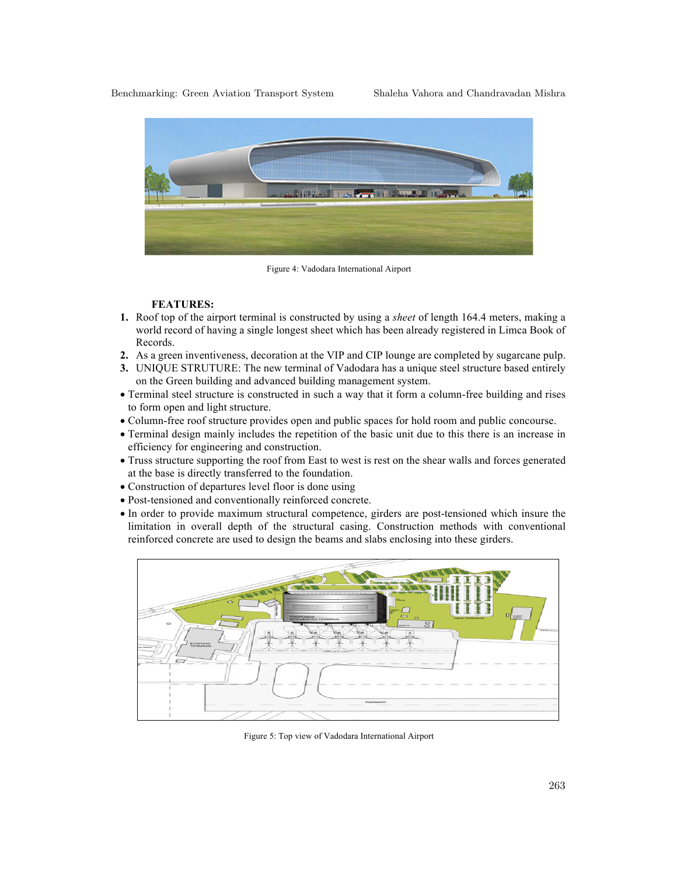Benchmarking: Green Aviation Transport System Shaleha Vahora and Chandravadan Mishra



Figure 4: Vadodara International Airport

# **FEATURES:**

- **1.** Roof top of the airport terminal is constructed by using a *sheet* of length 164.4 meters, making a world record of having a single longest sheet which has been already registered in Limca Book of Records.
- **2.** As a green inventiveness, decoration at the VIP and CIP lounge are completed by sugarcane pulp.
- **3.** UNIQUE STRUTURE: The new terminal of Vadodara has a unique steel structure based entirely on the Green building and advanced building management system.
- Terminal steel structure is constructed in such a way that it form a column-free building and rises to form open and light structure.
- Column-free roof structure provides open and public spaces for hold room and public concourse.
- Terminal design mainly includes the repetition of the basic unit due to this there is an increase in efficiency for engineering and construction.
- Truss structure supporting the roof from East to west is rest on the shear walls and forces generated at the base is directly transferred to the foundation.
- Construction of departures level floor is done using
- Post-tensioned and conventionally reinforced concrete.
- In order to provide maximum structural competence, girders are post-tensioned which insure the limitation in overall depth of the structural casing. Construction methods with conventional reinforced concrete are used to design the beams and slabs enclosing into these girders.



Figure 5: Top view of Vadodara International Airport